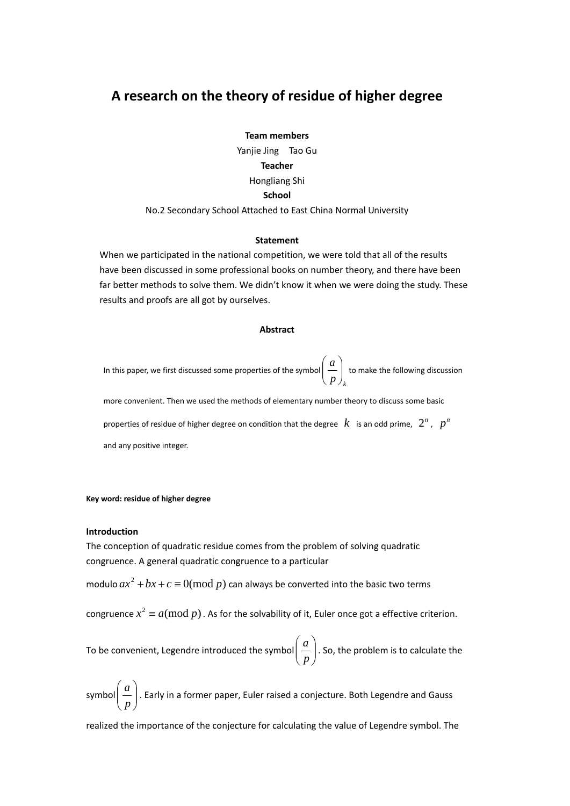# **A research on the theory of residue of higher degree**

**Team members** Yanjie Jing Tao Gu **Teacher** Hongliang Shi **School**

### No.2 Secondary School Attached to East China Normal University

### **Statement**

When we participated in the national competition, we were told that all of the results have been discussed in some professional books on number theory, and there have been far better methods to solve them. We didn't know it when we were doing the study. These results and proofs are all got by ourselves.

### **Abstract**

In this paper, we first discussed some properties of the symbol  $\left(\begin{array}{c} \overline{\cdot} \\ \overline{p} \end{array}\right)_k$ *a*  $\overline{\phantom{a}}$ ⎠  $\setminus$  $\parallel$ ⎝  $\begin{pmatrix} a \ - \end{pmatrix}$  to make the following discussion

more convenient. Then we used the methods of elementary number theory to discuss some basic

properties of residue of higher degree on condition that the degree  $k$  is an odd prime,  $2^n$ ,  $p^n$ and any positive integer.

### **Key word: residue of higher degree**

### **Introduction**

The conception of quadratic residue comes from the problem of solving quadratic congruence. A general quadratic congruence to a particular

modulo  $ax^2 + bx + c \equiv 0 \pmod{p}$  can always be converted into the basic two terms

congruence  $x^2 \equiv a (\text{mod } p)$  . As for the solvability of it, Euler once got a effective criterion.

To be convenient, Legendre introduced the symbol  $\left| \frac{a}{n} \right|$ ⎠ ⎞  $\overline{\phantom{a}}$ ⎝  $\big($ *p*  $\left\lfloor \frac{a}{b} \right\rfloor$  . So, the problem is to calculate the

symbol $\left\lfloor \frac{a}{n} \right\rfloor$ ⎠  $\mathcal{A}$  $\parallel$ ⎝  $\sqrt{}$ *p*  $\left\lfloor \frac{a}{c} \right\rfloor$ . Early in a former paper, Euler raised a conjecture. Both Legendre and Gauss

realized the importance of the conjecture for calculating the value of Legendre symbol. The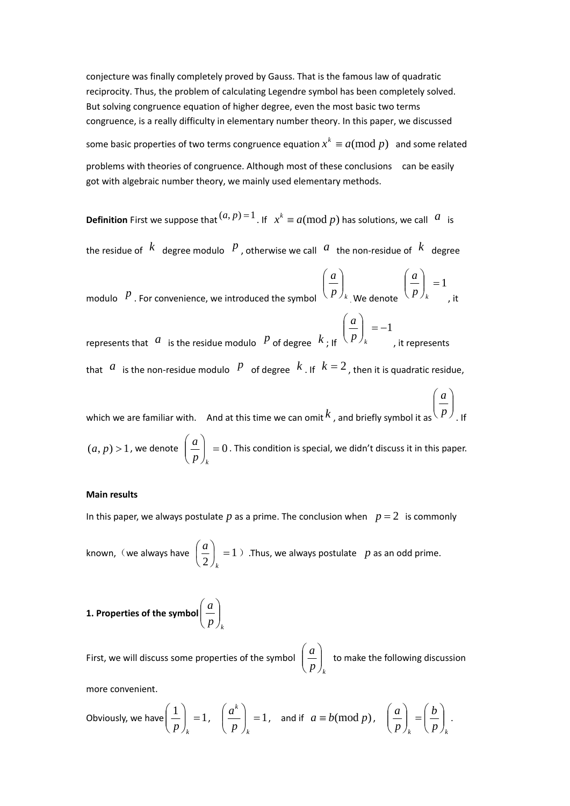conjecture was finally completely proved by Gauss. That is the famous law of quadratic reciprocity. Thus, the problem of calculating Legendre symbol has been completely solved. But solving congruence equation of higher degree, even the most basic two terms congruence, is a really difficulty in elementary number theory. In this paper, we discussed some basic properties of two terms congruence equation  $x^k \equiv a \pmod{p}$  and some related problems with theories of congruence. Although most of these conclusions can be easily got with algebraic number theory, we mainly used elementary methods.

**Definition** First we suppose that  $(a, p) = 1$ . If  $x^k \equiv a \pmod{p}$  has solutions, we call  $\alpha$  is

the residue of  $\overline{k}$  degree modulo  $\overline{p}$ , otherwise we call  $\overline{a}$  the non-residue of  $\overline{k}$  degree

modulo  $\left\vert P\right\rangle$  . For convenience, we introduced the symbol  $\left\langle \left\vert P\right. \right\rangle _{k}$ *a*  $\frac{1}{2}$ ⎠ ⎞  $\parallel$ ⎝  $\big($ . We denote  $\vert = 1$ ⎠ ⎞  $\overline{\phantom{a}}$ ⎝  $\sqrt{2}$ *<sup>k</sup> p a* , it

represents that  $a$  is the residue modulo  $p$  of degree  $k$ ; If  $\vert$  = -1 ⎠ ⎞  $\parallel$ ⎝  $\big($ *<sup>k</sup> p a* , it represents that *a* is the non-residue modulo *P* of degree *k* . If  $k = 2$ , then it is quadratic residue,

which we are familiar with. And at this time we can omit *k* , and briefly symbol it as ⎟ ⎟ ⎠ ⎞  $\overline{\phantom{a}}$  $\overline{a}$ ⎝  $\big($ *p a* . If  $(a, p) > 1$ , we denote  $\left| \frac{a}{n} \right| = 0$ ⎠ ⎞  $\overline{\phantom{a}}$ ⎝  $\big($ *<sup>k</sup> p*  $\left\{ \frac{a}{a}\right\} \ =0$  . This condition is special, we didn't discuss it in this paper.

### **Main results**

In this paper, we always postulate  $p$  as a prime. The conclusion when  $p = 2$  is commonly

known, (we always have  $\left|\frac{a}{2}\right| = 1$  $\left(\frac{a}{2}\right)_k =$ ⎝  $\sqrt{}$ *k*  $\left(\frac{a}{2}\right)^n = 1$  ) .Thus, we always postulate *p* as an odd prime.

1. Properties of the symbol 
$$
\left(\frac{a}{p}\right)_k
$$

First, we will discuss some properties of the symbol  $\left(\frac{w}{p}\right)_k$ *a*  $\overline{\phantom{a}}$ ⎠ ⎞  $\overline{\phantom{a}}$ ⎝  $\big($ to make the following discussion

more convenient.

Obviously, we have 
$$
\left(\frac{1}{p}\right)_k = 1
$$
,  $\left(\frac{a^k}{p}\right)_k = 1$ , and if  $a \equiv b \pmod{p}$ ,  $\left(\frac{a}{p}\right)_k = \left(\frac{b}{p}\right)_k$ .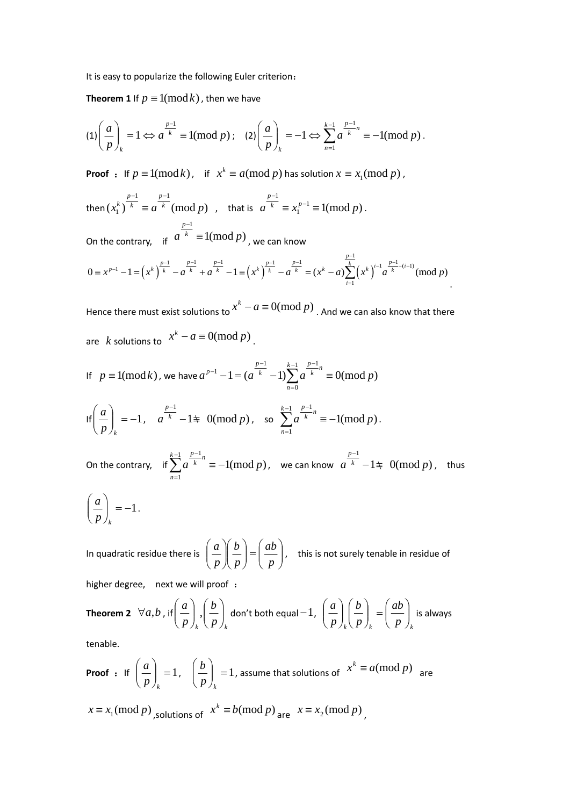It is easy to popularize the following Euler criterion:

**Theorem 1** If  $p \equiv 1 \pmod{k}$ , then we have

$$
(1)\left(\frac{a}{p}\right)_k = 1 \Leftrightarrow a^{\frac{p-1}{k}} \equiv 1 \pmod{p}; \quad (2)\left(\frac{a}{p}\right)_k = -1 \Leftrightarrow \sum_{n=1}^{k-1} a^{\frac{p-1}{k}n} \equiv -1 \pmod{p}.
$$

**Proof** : If  $p \equiv 1 \pmod{k}$ , if  $x^k \equiv a \pmod{p}$  has solution  $x \equiv x_1 \pmod{p}$ ,

then  $(x_1^k)^{-k} \equiv a^{-k} \pmod{p}$  $1$   $p-1$  $(x_1^k)^k \equiv a^{k} \pmod{p}$ *p k p k*  $-1$  p- $\equiv a^{\overline{k}} \pmod{p}$ , that is  $a^{\overline{k}} \equiv x_1^{p-1} \equiv 1 \pmod{p}$ 1  $a^{-k} \equiv x_1^{p-1} \equiv 1 \pmod{p}$ *p*  $\equiv x_1^{p-1}$ − . On the contrary, if  $a^{k} \equiv 1 \pmod{p}$ 1  $a^{k} \equiv 1 \pmod{p}$ *p* ≡ − , we can know

$$
0 \equiv x^{p-1} - 1 = \left(x^k\right)^{\frac{p-1}{k}} - a^{\frac{p-1}{k}} + a^{\frac{p-1}{k}} - 1 \equiv \left(x^k\right)^{\frac{p-1}{k}} - a^{\frac{p-1}{k}} = \left(x^k - a\right) \sum_{i=1}^{\frac{p-1}{k}} \left(x^k\right)^{i-1} a^{\frac{p-1}{k} - (i-1)} \pmod{p}.
$$

Hence there must exist solutions to  $x^k - a \equiv 0 \pmod{p}$  . And we can also know that there are *k* solutions to  $x^k - a \equiv 0 \pmod{p}$ .

If 
$$
p \equiv 1 \pmod{k}
$$
, we have  $a^{p-1} - 1 = (a^{\frac{p-1}{k}} - 1) \sum_{n=0}^{k-1} a^{\frac{p-1}{k}n} \equiv 0 \pmod{p}$ 

$$
\text{If}\left(\frac{a}{p}\right)_k = -1, \quad a^{\frac{p-1}{k}} - 1 \equiv 0 \pmod{p}, \quad \text{so } \sum_{n=1}^{k-1} a^{\frac{p-1}{k}n} \equiv -1 \pmod{p}.
$$

On the contrary, if  $\sum a^{k} = -1 \pmod{p}$ 1 1 1  $a^{k}$  = -1(mod p *k n*  $\sum^{k-1} a^{\frac{p-1}{k}n} \equiv -$ = − , we can know  $|a|^k|-1 \not \equiv 0 (\text{mod } p)$ 1  $a^{k}$   $-1 \not\equiv 0 \pmod{p}$ *p*  $-1\ddagger$ − , thus

$$
\left(\frac{a}{p}\right)_k = -1.
$$

In quadratic residue there is  $\left| \frac{a}{n} \right| \left| \frac{b}{n} \right| = \left| \frac{ab}{n} \right|$ ⎠  $\setminus$  $\vert$  $\begin{pmatrix} 1 \\ -1 \end{pmatrix} = \begin{pmatrix} 1 \\ 0 \end{pmatrix}$ ⎠ ⎞  $\parallel$ ⎝  $\sqrt{}$  $\sqrt{2}$ ⎠  $\setminus$  $\parallel$ ⎝  $\sqrt{}$ *p ab p b p*  $\left(\frac{a}{b}\right)\left(\frac{b}{c}\right)=\left(\frac{ab}{c}\right)$ , this is not surely tenable in residue of higher degree, next we will proof:

**Theorem 2** 
$$
\forall a, b, \text{ if } \left(\frac{a}{p}\right)_k, \left(\frac{b}{p}\right)_k
$$
 don't both equal -1,  $\left(\frac{a}{p}\right)_k \left(\frac{b}{p}\right)_k = \left(\frac{ab}{p}\right)_k$  is always

tenable.

**Proof :** If 
$$
\left(\frac{a}{p}\right)_k = 1
$$
,  $\left(\frac{b}{p}\right)_k = 1$ , assume that solutions of  $x^k \equiv a \pmod{p}$  are   
  $x \equiv x_1 \pmod{p}$ , solutions of  $x^k \equiv b \pmod{p}$  are  $x \equiv x_2 \pmod{p}$ .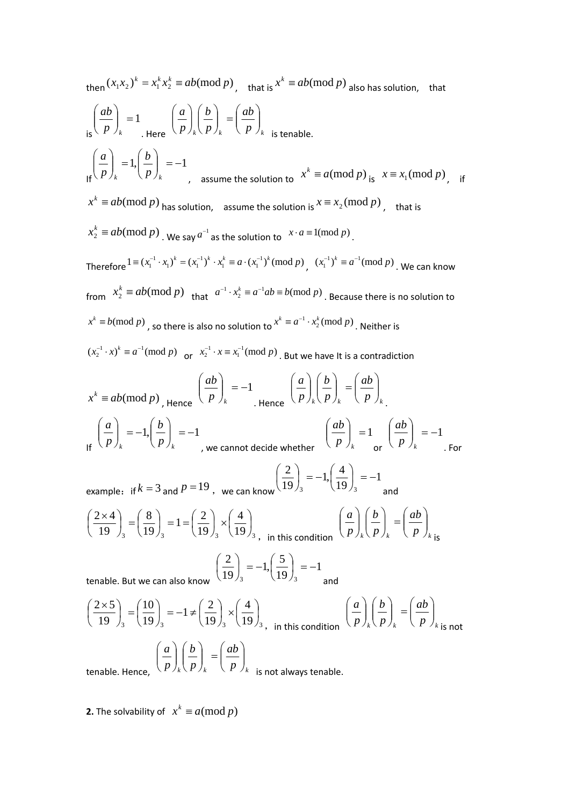then 
$$
(x_1x_2)^k = x_1^k x_2^k = ab \pmod{p}
$$
, that is  $x^k \equiv ab \pmod{p}$  also has solution, that  
\n
$$
\left(\frac{ab}{p}\right)_k = 1
$$
\n
$$
\left(\frac{a}{p}\right)_k = \left(\frac{b}{p}\right)_k = \left(\frac{ab}{p}\right)_k
$$
\n
$$
= \left(\frac{ab}{p}\right)_k = \left(\frac{ab}{p}\right)_k
$$
\n
$$
= \left(\frac{ab}{p}\right)_k = 1
$$
\n
$$
x^k \equiv ab \pmod{p}
$$
\nhas solution, assume the solution to  $x^k \equiv a \pmod{p}$ , that is  
\n $x_2^k \equiv ab \pmod{p}$ . We say  $a^{-1}$  as the solution to  $x \cdot a \equiv 1 \pmod{p}$ .  
\nTherefore  $1 \equiv (x_1^{-1} \cdot x_1)^k = (x_1^{-1})^k \cdot x_1^k \equiv a \cdot (x_1^{-1})^k \pmod{p}$ ,  $(x_1^{-1})^k \equiv a^{-1} \pmod{p}$ . We can know  
\nfrom  $x_2^k \equiv ab \pmod{p}$  that  $a^{-1} \cdot x_2^k \equiv a^{-1}ab \equiv b \pmod{p}$ . Because there is no solution to  
\n $x^k \equiv b \pmod{p}$ , so there is also no solution to  $x^k \equiv a^{-1} \cdot x_2^k \pmod{p}$ . Neither is  
\n $(x_2^{-1} \cdot x)^k \equiv a^{-1} \pmod{p}$  or  $x_2^{-1} \cdot x \equiv x_1^{-1} \pmod{p}$ . But we have it is a contradiction  
\n $x^k \equiv ab \pmod{p}$ , Hence  $\left(\frac{ab}{p}\right)_k = -1$ . Hence  $\left(\frac{a}{p}\right)_k \left(\frac{b}{p}\right)_k = \left(\frac{ab}{p}\right)_k$ .  
\n
$$
\left(\frac{a}{p}\right)_k = -1, \left(\frac{b}{p}\right)_k = -1
$$
, we cannot decide whether  $\left(\frac{ab}{p}\right)_k = 1$  and  
\n
$$
\left(\frac{2 \times 4}{19}\right)_3 = \left(\frac{8}{19}\right)_3 = 1 = \left(\frac{2}{1
$$

 $\frac{1}{3}$  (19)<sub>3</sub> (19)<sub>3</sub> (19)<sub>3</sub> 19  $\frac{1}{3}$  (19) ⎠  $\left(\frac{2}{19}\right)_3 \times$  $\left(\frac{10}{19}\right)_3 = -1 \neq 0$  $\left(\frac{2\times 5}{19}\right)_3 =$  $\left(\frac{2 \times 3}{19}\right)_3 = \left(\frac{10}{19}\right)_3 = -1 \neq \left(\frac{2}{19}\right)_3 \times \left(\frac{4}{19}\right)_3$ , in this condition  $\left(\frac{a}{p}\right)_k \left(\frac{b}{p}\right)_k = \left(\frac{ab}{p}\right)_k$  $\left(\frac{uv}{p}\right)$  $\bigg)_k = \bigg($  $\left(\frac{b}{p}\right)$  $\int_{k}$  $\left(\frac{u}{p}\right)$  $(p)_{k}$   $(p)_{k}$   $(p)_{k}$  is not tenable. Hence,  $\left\langle p \right\rangle_k \left\langle p \right\rangle_k \quad \left\langle p \right\rangle_k$ *ab p b p a*  $\overline{\phantom{a}}$ ⎠ ⎞  $\overline{\phantom{a}}$  $\bigg)_k = \bigg($ ⎠ ⎞  $\parallel$ ⎝  $\big($  $\overline{\phantom{a}}$ ⎠ ⎞  $\parallel$ ⎝  $\big($ is not always tenable.

**2.** The solvability of  $x^k \equiv a \pmod{p}$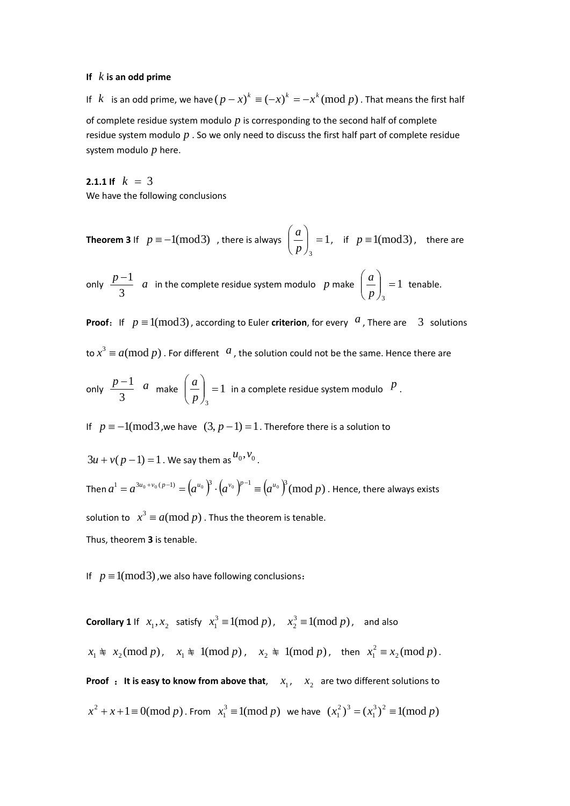### **If** *k* **is an odd prime**

If *k* is an odd prime, we have  $(p - x)^k = (-x)^k = -x^k \pmod{p}$ . That means the first half of complete residue system modulo *p* is corresponding to the second half of complete residue system modulo *p* . So we only need to discuss the first half part of complete residue system modulo *p* here.

**2.1.1 If**  $k = 3$ We have the following conclusions

**Theorem 3** If  $p \equiv -1 \pmod{3}$ , there is always  $\left| \frac{a}{n} \right| = 1$ 3 ⎠ ⎞  $\overline{\phantom{a}}$ ⎝  $\big($ *p*  $\left(\frac{a}{b}\right)^{n}$  = 1, if  $p \equiv 1 \pmod{3}$ , there are

only  $\frac{P}{3}$  $\frac{p-1}{3}$  *a* in the complete residue system modulo *p* make  $\left(\frac{a}{p}\right) = 1$ 3 ⎠ ⎞  $\parallel$ ⎝  $\big($ *p*  $\left(\frac{a}{b}\right) = 1$  tenable.

**Proof:** If  $p \equiv 1 \pmod{3}$ , according to Euler **criterion**, for every *a*, There are 3 solutions

to  $x^3 \equiv a (\text{mod } p)$  . For different  $\alpha$  , the solution could not be the same. Hence there are

only  $\frac{r}{3}$  $\frac{p-1}{3}$  *a* make  $\left(\frac{a}{p}\right) = 1$ 3 ⎠  $\mathcal{A}$  $\overline{\phantom{a}}$ ⎝  $\sqrt{}$ *p*  $\left\lfloor \frac{a}{a} \right\rfloor = 1$  in a complete residue system modulo  $\left\lfloor \frac{p}{a} \right\rfloor$ 

If  $p \equiv -1 \pmod{3}$ , we have  $(3, p-1) = 1$ . Therefore there is a solution to

 $3u + v(p-1) = 1$ . We say them as  $u_0, v_0$ .

Then  $a^1 = a^{3u_0 + v_0(p-1)} = (a^{u_0})^3 \cdot (a^{v_0})^{p-1} = (a^{u_0})^3$  (mod p). Hence, there always exists solution to  $x^3 \equiv a \pmod{p}$  . Thus the theorem is tenable. Thus, theorem **3** is tenable.

If  $p \equiv 1 \pmod{3}$ , we also have following conclusions:

**Corollary 1** If  $x_1, x_2$  satisfy  $x_1^3 \equiv 1 \pmod{p}$ ,  $x_2^3 \equiv 1 \pmod{p}$ , and also  $x_1 \not\equiv x_2 \pmod{p}$ ,  $x_1 \not\equiv 1 \pmod{p}$ ,  $x_2 \not\equiv 1 \pmod{p}$ , then  $x_1^2 \equiv x_2 \pmod{p}$ . **Proof** : It is easy to know from above that,  $x_1$ ,  $x_2$  are two different solutions to  $x^2 + x + 1 \equiv 0 \pmod{p}$ . From  $x_1^3 \equiv 1 \pmod{p}$  we have  $(x_1^2)^3 = (x_1^3)^2 \equiv 1 \pmod{p}$  $(x_1^2)^3 = (x_1^3)^2 \equiv 1 \pmod{p}$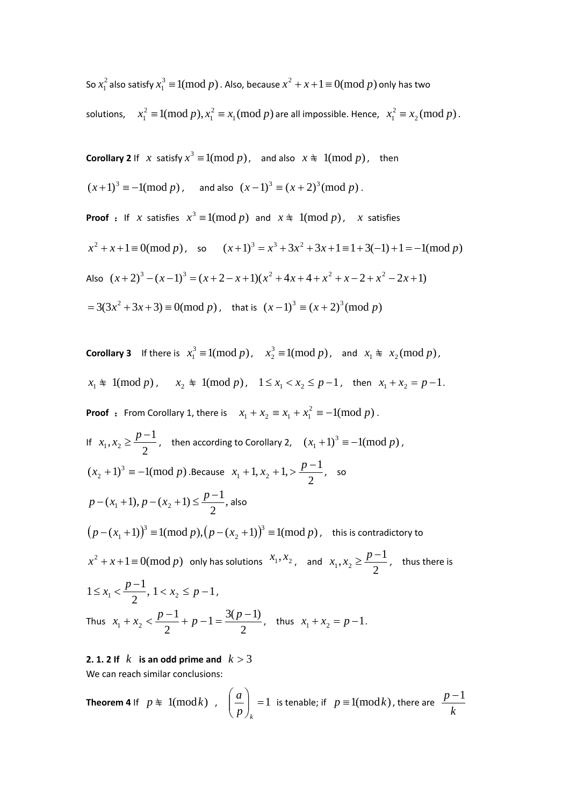So  $x_1^2$  also satisfy  $x_1^3 \equiv 1 \text{(mod } p)$  . Also, because  $x^2 + x + 1 \equiv 0 \text{(mod } p)$  only has two

solutions,  $x_1^2 \equiv 1 \pmod{p}$ ,  $x_1^2 \equiv x_1 \pmod{p}$ 1  $x_1^2 \equiv 1 \pmod{p}$ ,  $x_1^2 \equiv x_1 \pmod{p}$  are all impossible. Hence,  $x_1^2 \equiv x_2 \pmod{p}$ .

**Corollary 2** If *x* satisfy  $x^3 \equiv 1 \pmod{p}$ , and also  $x \not\equiv 1 \pmod{p}$ , then

 $(x+1)^3 \equiv -1 \pmod{p}$ , and also  $(x-1)^3 \equiv (x+2)^3 \pmod{p}$ .

**Proof** : If *x* satisfies  $x^3 \equiv 1 \pmod{p}$  and  $x \neq 1 \pmod{p}$ , *x* satisfies  $x^2 + x + 1 \equiv 0 \pmod{p}$ , so  $(x+1)^3 = x^3 + 3x^2 + 3x + 1 \equiv 1 + 3(-1) + 1 = -1 \pmod{p}$ Also  $(x+2)^3 - (x-1)^3 = (x+2-x+1)(x^2+4x+4+x^2+x-2+x^2-2x+1)$  $= 3(3x^2 + 3x + 3) \equiv 0 \pmod{p}$ , that is  $(x-1)^3 \equiv (x+2)^3 \pmod{p}$ 

**Corollary 3** If there is  $x_1^3 \equiv 1 \pmod{p}$ ,  $x_2^3 \equiv 1 \pmod{p}$ , and  $x_1 \not\equiv x_2 \pmod{p}$ ,  $x_1 \neq 1 \pmod{p}$ ,  $x_2 \neq 1 \pmod{p}$ ,  $1 \leq x_1 < x_2 \leq p-1$ , then  $x_1 + x_2 = p-1$ . **Proof** : From Corollary 1, there is  $x_1 + x_2 \equiv x_1 + x_1^2 \equiv -1 \pmod{p}$ . If  $x_1, x_2 \geq \frac{p-1}{2}$ , then according to Corollary 2,  $(x_1 + 1)^3 \equiv -1 \pmod{p}$ ,  $(x_2 + 1)^3 = -1 \pmod{p}$ . Because  $x_1 + 1, x_2 + 1, > \frac{p-1}{2}$ , so  $p - (x_1 + 1), p - (x_2 + 1) \le \frac{p-1}{2}$ , also  $(p - (x_1 + 1))^3 \equiv 1 \pmod{p}, (p - (x_2 + 1))^3 \equiv 1 \pmod{p}$  $(p - (x_1 + 1))^3 \equiv 1(\text{mod }p), \left(p - (x_2 + 1)\right)^3 \equiv 1(\text{mod }p)$  , this is contradictory to  $x^2 + x + 1 \equiv 0 \pmod{p}$  only has solutions  $x_1, x_2$ , and  $x_1, x_2 \geq \frac{p-1}{2}$ , thus there is  $1 \le x_1 < \frac{p-1}{2}, 1 < x_2 \le p-1$ , Thus  $x_1 + x_2 < \frac{p+1}{2} + p - 1 = \frac{p+1}{2}$  $1 = \frac{3(p-1)}{2}$ 2 1  $x_1 + x_2 < \frac{p-1}{2} + p - 1 = \frac{3(p-1)}{2}$ , thus  $x_1 + x_2 = p-1$ .

## **2. 1. 2** If  $k$  is an odd prime and  $k > 3$

We can reach similar conclusions:

**Theorem 4** If 
$$
p \neq 1 \pmod{k}
$$
,  $\left(\frac{a}{p}\right)_k = 1$  is tenable; if  $p \equiv 1 \pmod{k}$ , there are  $\frac{p-1}{k}$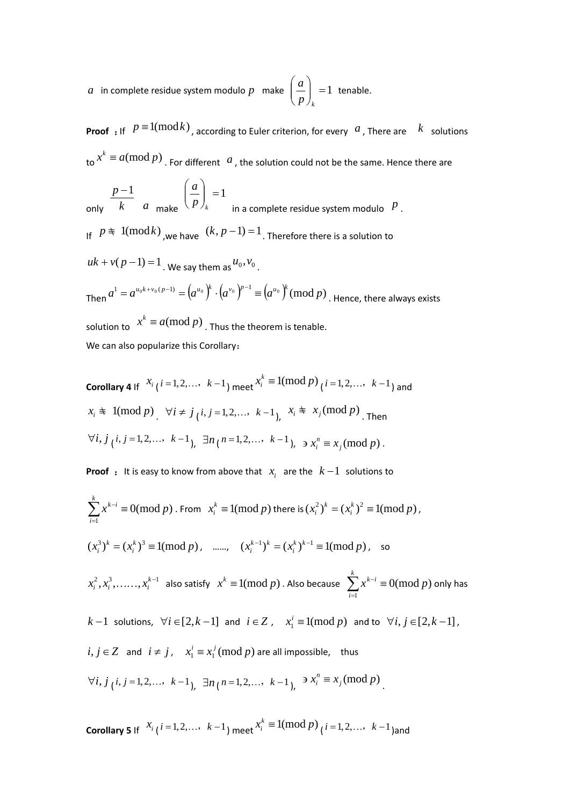*a* in complete residue system modulo p make  $\left|\frac{a}{n}\right|=1$ ⎠ ⎞  $\overline{\phantom{a}}$ ⎝  $\big($ *<sup>k</sup> p*  $\left(\frac{a}{b}\right)$  = 1 tenable.

**Proof** : If  $p \equiv 1 \pmod{k}$ , according to Euler criterion, for every *a*, There are *k* solutions  $\int_{\text{tot}} x^k \equiv a \pmod{p}$ . For different *a*, the solution could not be the same. Hence there are

only *k p* −1 *a* make  $\vert = 1$ ⎠ ⎞  $\overline{\phantom{a}}$ ⎝  $\big($ *<sup>k</sup> p a* in a complete residue system modulo  $\|P\|$ . If  $p \nless 1(\text{mod } k)$ , we have  $(k, p-1) = 1$ . Therefore there is a solution to  $uk + v(p-1) = 1$ . We say them as  $u_0$ ,  $v_0$ . Then  $a^1=a^{u_0k+v_0(p-1)}=\left(a^{u_0}\right)^k\cdot\left(a^{v_0}\right)^{p-1}\equiv\left(a^{u_0}\right)^k(\text{mod}~p)$  . Hence, there always exists solution to  $x^k \equiv a \pmod{p}$ . Thus the theorem is tenable. We can also popularize this Corollary:

**Corollary 4** If 
$$
x_i
$$
 (*i* = 1,2,..., *k*-1) meet  $x_i^k$  ≡ 1(mod *p*) (*i* = 1,2,..., *k*-1) and  $x_i$  ≢ 1(mod *p*)  $\forall i \neq j$  (*i*, *j* = 1,2,..., *k*-1),  $x_i$  ≢  $x_j$ (mod *p*) . Then  $\forall i, j$  (*i*, *j* = 1,2,..., *k*-1),  $\exists n$  (*n* = 1,2,..., *k*-1),  $\ni x_i^n \equiv x_j \pmod{p}$ .

**Proof** : It is easy to know from above that  $x_i$  are the  $k-1$  solutions to

$$
\sum_{i=1}^{k} x^{k-i} \equiv 0 \pmod{p} \text{ . From } x_i^k \equiv 1 \pmod{p} \text{ there is } (x_i^2)^k = (x_i^k)^2 \equiv 1 \pmod{p},
$$
\n
$$
(x_i^3)^k = (x_i^k)^3 \equiv 1 \pmod{p}, \quad \text{......, } (x_i^{k-1})^k = (x_i^k)^{k-1} \equiv 1 \pmod{p}, \text{ so}
$$
\n
$$
x_i^2, x_i^3, \dots, x_i^{k-1} \text{ also satisfy } x^k \equiv 1 \pmod{p}. \text{ Also because } \sum_{i=1}^k x^{k-i} \equiv 0 \pmod{p} \text{ only has}
$$
\n
$$
k-1 \text{ solutions, } \forall i \in [2, k-1] \text{ and } i \in \mathbb{Z}, \quad x_i^i \equiv 1 \pmod{p} \text{ and to } \forall i, j \in [2, k-1],
$$
\n
$$
i, j \in \mathbb{Z} \text{ and } i \neq j, \quad x_i^i \equiv x_i^j \pmod{p} \text{ are all impossible, thus}
$$
\n
$$
\forall i, j \neq i, j = 1, 2, \dots, k-1, \quad \exists n \{n = 1, 2, \dots, k-1\}, \quad \exists x_i^m \equiv x_j \pmod{p}
$$

**Corollary 5** If  $\left\{ x_i \right\} (i = 1, 2, \ldots, k-1)$  meet  $x_i^k \equiv 1 \pmod{p}$   $(i = 1, 2, \ldots, k-1)$  and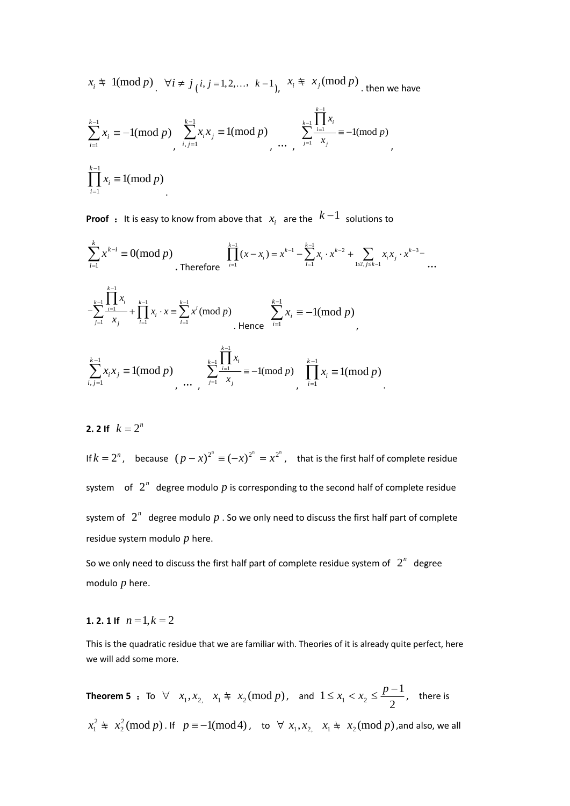$$
x_i \neq 1 \text{(mod } p) \quad \forall i \neq j \text{ (}i, j = 1, 2, \dots, k-1 \text{)}, \quad x_i \neq x_j \text{(mod } p) \text{ then we have}
$$
\n
$$
\sum_{i=1}^{k-1} x_i \equiv -1 \text{(mod } p) \quad \sum_{i,j=1}^{k-1} x_i x_j \equiv 1 \text{(mod } p) \quad \dots \quad \sum_{j=1}^{k-1} \frac{\prod_{i=1}^{k-1} x_i}{x_j} \equiv -1 \text{(mod } p)
$$
\n
$$
\prod_{i=1}^{k-1} x_i \equiv 1 \text{(mod } p)
$$

**Proof** : It is easy to know from above that  $x_i$  are the  $k-1$  solutions to

$$
\sum_{i=1}^{k} x^{k-i} \equiv 0 \pmod{p}
$$
\nTherefore\n
$$
\prod_{i=1}^{k-1} (x - x_i) = x^{k-1} - \sum_{i=1}^{k-1} x_i \cdot x^{k-2} + \sum_{1 \le i, j \le k-1} x_i x_j \cdot x^{k-3} - \cdots
$$
\n
$$
-\sum_{j=1}^{k-1} \frac{1}{x_j} x_j + \prod_{i=1}^{k-1} x_i \cdot x \equiv \sum_{i=1}^{k-1} x^i \pmod{p}
$$
\nHence\n
$$
\sum_{i=1}^{k-1} x_i \equiv -1 \pmod{p}
$$
\n
$$
\sum_{i,j=1}^{k-1} x_i x_j \equiv 1 \pmod{p}
$$
\n
$$
\sum_{j=1}^{k-1} \frac{1}{x_j} x_j = \frac{1}{n} \pmod{p}
$$
\n
$$
\sum_{j=1}^{k-1} \frac{1}{x_j} x_j = -1 \pmod{p}
$$
\n
$$
\sum_{i=1}^{k-1} x_i \equiv 1 \pmod{p}
$$

## **2. 2 If**  $k = 2^n$

If  $k = 2^n$ , because  $(p - x)^{2^n} = (-x)^{2^n} = x^{2^n}$ , that is the first half of complete residue system of  $2^n$  degree modulo p is corresponding to the second half of complete residue system of  $2^n$  degree modulo p. So we only need to discuss the first half part of complete residue system modulo *p* here.

So we only need to discuss the first half part of complete residue system of  $2^n$  degree modulo *p* here.

### **1. 2. 1 If**  $n = 1, k = 2$

This is the quadratic residue that we are familiar with. Theories of it is already quite perfect, here we will add some more.

**Theorem 5** : To ∀  $x_1, x_2, x_1 \ncong x_2 \pmod{p}$ , and  $1 \le x_1 < x_2 \le \frac{p-1}{2}$ , there is  $\equiv x_2^2 \pmod{p}$  $x_1^2 ≢ x_2^2 \pmod{p}$ . If  $p \equiv -1 \pmod{4}$ , to  $\forall x_1, x_2, x_1 ≢ x_2 \pmod{p}$ , and also, we all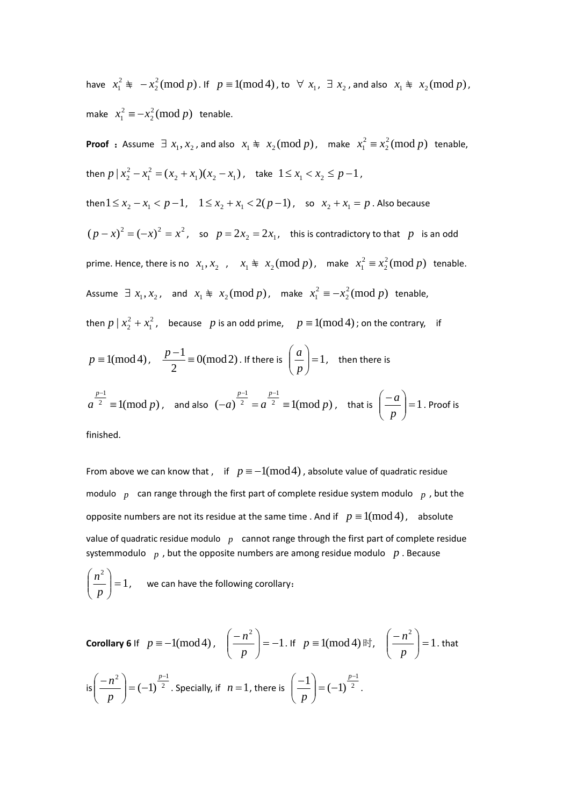have  $x_1^2 \not\equiv -x_2^2 \pmod{p}$  $x_1^2 \not\equiv -x_2^2 \pmod{p}$ . If  $p \equiv 1 \pmod{4}$ , to  $\forall x_1, \exists x_2$ , and also  $x_1 \not\equiv x_2 \pmod{p}$ , make  $x_1^2 \equiv -x_2^2 \pmod{p}$  $x_1^2 \equiv -x_2^2 \pmod{p}$  tenable.

**Proof** : Assume ∃  $x_1, x_2$ , and also  $x_1 \ncong x_2 \pmod{p}$ , make  $x_1^2 \equiv x_2^2 \pmod{p}$  $x_1^2 \equiv x_2^2 \pmod{p}$  tenable, then  $p | x_2^2 - x_1^2 = (x_2 + x_1)(x_2 - x_1)$ 1  $p \mid x_2^2 - x_1^2 = (x_2 + x_1)(x_2 - x_1)$ , take  $1 \le x_1 < x_2 \le p - 1$ , then  $1 \le x_2 - x_1 < p - 1$ ,  $1 \le x_2 + x_1 < 2(p - 1)$ , so  $x_2 + x_1 = p$ . Also because  $(p-x)^2 = (-x)^2 = x^2$ , so  $p = 2x_2 = 2x_1$ , this is contradictory to that p is an odd prime. Hence, there is no  $x_1, x_2$ ,  $x_1 \nightharpoonup x_2 \pmod{p}$ , make  $x_1^2 \equiv x_2^2 \pmod{p}$  $x_1^2 \equiv x_2^2 \pmod{p}$  tenable. Assume  $\exists x_1, x_2$ , and  $x_1 \not\equiv x_2 \pmod{p}$ , make  $x_1^2 \equiv -x_2^2 \pmod{p}$  $x_1^2 \equiv -x_2^2 \pmod{p}$  tenable, then  $p | x_2^2 + x_1^2$  $p \mid x_2^2 + x_1^2$ , because p is an odd prime,  $p \equiv 1 \pmod{4}$ ; on the contrary, if  $p \equiv 1 \pmod{4}$ ,  $\frac{p-1}{2} \equiv 0 \pmod{2}$ . If there is  $\left(\frac{a}{p}\right) = 1$ ⎠ ⎞  $\parallel$ ⎝  $\big($ *p*  $\left\lfloor \frac{a}{b} \right\rfloor = 1$ , then there is <sup>2</sup>  $\equiv$  1(mod *p*) 1  $a^2 \equiv 1 \pmod{p}$ *p* ≡ − , and also  $(-a)^2 = a^2 \equiv 1 \pmod{p}$ 1 2 1 *a*) <sup>2</sup> =  $a^{2}$  = 1(mod *p*  $p-1$  *p*  $(a-a)^2 = a^2 \equiv$  $-1$  p-, that is  $\left|\frac{-a}{n}\right|=1$ ⎠  $\setminus$  $\overline{\phantom{a}}$ ⎝  $($  − *p*  $\left(\frac{a}{a}\right)$  = 1 . Proof is

finished.

From above we can know that , if  $p \equiv -1 \pmod{4}$ , absolute value of quadratic residue modulo *p* can range through the first part of complete residue system modulo *p* , but the opposite numbers are not its residue at the same time . And if  $p \equiv 1 \pmod{4}$ , absolute value of quadratic residue modulo *p* cannot range through the first part of complete residue systemmodulo *p* , but the opposite numbers are among residue modulo *p* . Because

$$
\left(\frac{n^2}{p}\right) = 1, \quad \text{we can have the following corollary:}
$$

Corollary 6 If 
$$
p \equiv -1 \pmod{4}
$$
,  $\left(\frac{-n^2}{p}\right) = -1$ . If  $p \equiv 1 \pmod{4}$  if,  $\left(\frac{-n^2}{p}\right) = 1$ . that  
\n
$$
\text{is}\left(\frac{-n^2}{p}\right) = (-1)^{\frac{p-1}{2}}.
$$
\nSpecially, if  $n = 1$ , there is  $\left(\frac{-1}{p}\right) = (-1)^{\frac{p-1}{2}}$ .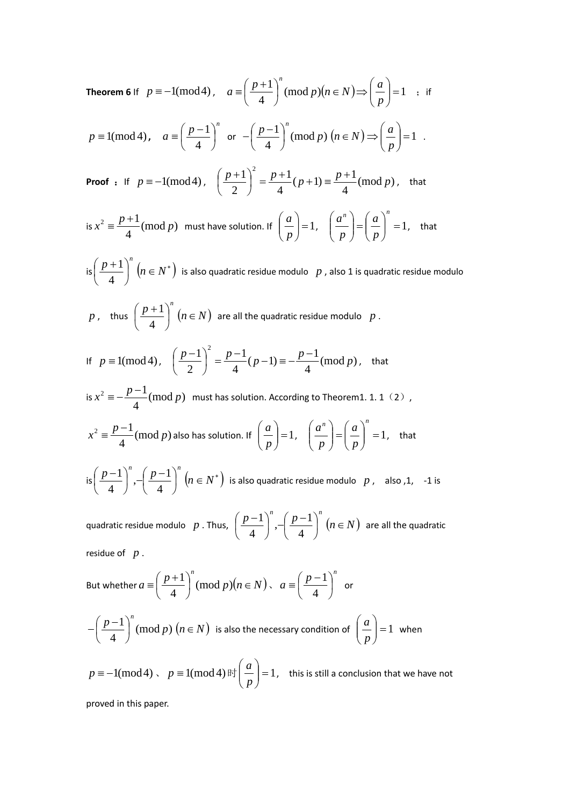**Theorem 6** If  $p \equiv -1 \pmod{4}$ ,  $a \equiv \left| \frac{p+1}{4} \right| \pmod{p}$   $(n \in N) \Rightarrow \left| \frac{a}{2} \right| = 1$  $\left(\frac{+1}{4}\right)^n$  (mod  $p$ ) $\left(n \in N\right) \Rightarrow \left(\frac{a}{p}\right) =$ ⎠ ⎞  $\overline{\phantom{a}}$  $\left(\frac{p+1}{4}\right)^n \pmod{p}$   $(n \in N) \Rightarrow$  $a \equiv \left(\frac{p+1}{4}\right)^n \pmod{p}$   $(n \in N) \Rightarrow \left(\frac{a}{p}\right)$ ;if

$$
p \equiv 1 \pmod{4}
$$
,  $a \equiv \left(\frac{p-1}{4}\right)^n$  or  $-\left(\frac{p-1}{4}\right)^n \pmod{p}$   $(n \in N) \Rightarrow \left(\frac{a}{p}\right) = 1$ .

**Proof** : If  $p \equiv -1 \pmod{4}$ ,  $\left(\frac{p+1}{2}\right)^2 = \frac{p+1}{4}(p+1) \equiv \frac{p+1}{4}(\pmod{p})$ 2  $\left(\frac{p+1}{2}\right)^2 = \frac{p+1}{4}(p+1) \equiv \frac{p+1}{4}(\text{mod } p)$ ⎝  $\left(\frac{p+1}{2}\right)^2 = \frac{p+1}{2}(p+1) \equiv \frac{p+1}{2}(p \mod p),$  that

is 
$$
x^2 \equiv \frac{p+1}{4} \pmod{p}
$$
 must have solution. If  $\left(\frac{a}{p}\right) = 1$ ,  $\left(\frac{a^n}{p}\right) = \left(\frac{a}{p}\right)^n = 1$ , that

is  $\left(\frac{p+1}{4}\right)^n$ ⎠  $\left(\frac{p+1}{4}\right)$ ⎝  $\left( p+ \right)$ 4  $\left(\frac{1}{n}\right)^n\big(n\in N^*\big)$  is also quadratic residue modulo  $\left\lfloor p\right\rfloor$  , also 1 is quadratic residue modulo

 $p$ , thus  $\left(\frac{p+1}{4}\right)^n$ ⎠  $\left(\frac{p+1}{4}\right)$ ⎝  $\left( p+ \right)$ 4  $\left( \frac{1}{n} \right)^n (n \in N)$  are all the quadratic residue modulo  $p$  .

If 
$$
p \equiv 1 \pmod{4}
$$
,  $\left(\frac{p-1}{2}\right)^2 = \frac{p-1}{4}(p-1) \equiv -\frac{p-1}{4} \pmod{p}$ , that

is 
$$
x^2 \equiv -\frac{p-1}{4} \pmod{p}
$$
 must has solution. According to Theorem 1. 1. 1 (2),  
 $p-1$ ,  $p-1$ ,  $p-1$ ,  $p-1$ ,  $p-1$ ,  $p-1$ ,  $p-1$ ,  $p-1$ ,  $p-1$ ,  $p-1$ ,  $p-1$ ,  $p-1$ ,  $p-1$ ,  $p-1$ ,  $p-1$ ,  $p-1$ ,  $p-1$ ,  $p-1$ ,  $p-1$ ,  $p-1$ ,  $p-1$ ,  $p-1$ ,  $p-1$ ,  $p-1$ ,  $p-1$ ,  $p-1$ ,  $p-1$ ,  $p-1$ ,  $p-1$ ,  $p-1$ ,  $p-1$ ,  $p-1$ ,  $p-1$ ,  $p-1$ ,  $p-1$ ,  $p-1$ ,  $p-1$ ,  $p-1$ ,  $p-1$ ,  $p-1$ ,  $p-1$ ,  $p-1$ ,  $p-1$ ,  $p-1$ ,  $p-1$ ,  $p-1$ ,  $p-1$ ,  $p-1$ ,  $p-1$ ,  $p-1$ ,  $p-1$ ,  $p-1$ ,  $p-1$ ,  $p-1$ ,  $p-1$ ,  $p-1$ ,  $p-1$ ,  $p-1$ ,  $p-1$ ,  $p-1$ ,  $p-1$ ,  $p-1$ ,  $p-1$ ,  $p-1$ ,  $p-1$ ,  $p-1$ ,  $p-1$ ,  $p-1$ ,  $p-1$ ,  $p-1$ ,  $p-1$ ,  $p-1$ ,  $p-1$ ,  $p-1$ ,  $p-1$ ,  $p-1$ ,  $p-1$ ,  $p-1$ ,  $p-1$ ,  $p-1$ ,  $p-1$ ,  $p-1$ ,  $p-1$ ,  $p-1$ ,  $p-1$ ,  $p-1$ ,  $p-1$ ,  $p-1$ ,  $p-1$ ,  $p-1$ 

$$
x^{2} \equiv \frac{p-1}{4} \pmod{p}
$$
 also has solution. If  $\left(\frac{a}{p}\right) = 1$ ,  $\left(\frac{a^{n}}{p}\right) = \left(\frac{a}{p}\right)^{n} = 1$ , that

is  $\left(\frac{p-1}{4}\right)^n$ ,  $\left(\frac{p-1}{4}\right)^n$ ⎠  $\left(\frac{p-1}{4}\right)$  $\left(\frac{p-1}{4}\right)^n, -\left(\frac{p-1}{4}\right)^n$ ⎝  $\left( p-\right)$  $\left(\frac{-1}{4}\right)^n$ ,  $\left(\frac{p-1}{4}\right)^n\left(n\in N^*\right)$  is also quadratic residue modulo  $\,\,p$  , also ,1, -1 is

quadratic residue modulo  $p$ . Thus,  $\left(\frac{p-1}{4}\right)^n$ ,  $\left(\frac{p-1}{4}\right)^n$ ⎠  $\left(\frac{p-1}{\cdot}\right)$  $\left(\frac{p-1}{4}\right)^n, -\left(\frac{p-1}{4}\right)^n$ ⎝  $\left( p-\right)$  $\left(\frac{-1}{4}\right)^n$  ,  $\left(\frac{p-1}{4}\right)^n$   $(n \in N)$  are all the quadratic

residue of *p* .

But whether 
$$
a \equiv \left(\frac{p+1}{4}\right)^n \pmod{p}
$$
,  $a \equiv \left(\frac{p-1}{4}\right)^n$  or

$$
-\left(\frac{p-1}{4}\right)^n \text{(mod } p) \text{ (}n \in N \text{) is also the necessary condition of } \left(\frac{a}{p}\right) = 1 \text{ when}
$$

$$
p \equiv -1 \pmod{4}
$$
,  $p \equiv 1 \pmod{4}$   $\mathbb{H} \left( \frac{a}{p} \right) = 1$ , this is still a conclusion that we have not

proved in this paper.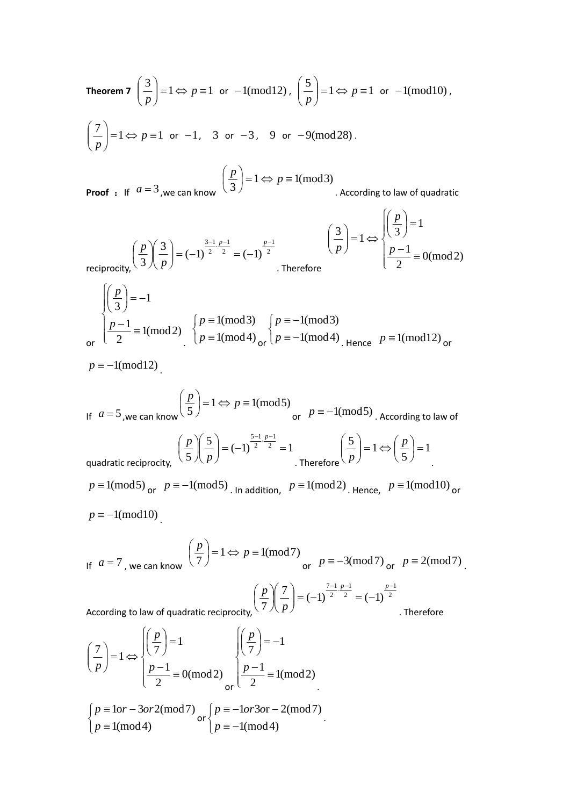**Theorem 7** 
$$
\left(\frac{3}{p}\right) = 1 \Leftrightarrow p \equiv 1 \text{ or } -1 \pmod{12}, \left(\frac{5}{p}\right) = 1 \Leftrightarrow p \equiv 1 \text{ or } -1 \pmod{10},
$$
  
 $\left(\frac{7}{p}\right) = 1 \Leftrightarrow p \equiv 1 \text{ or } -1, 3 \text{ or } -3, 9 \text{ or } -9 \pmod{28}.$   
 $\left(\frac{p}{q}\right) = 1 \Leftrightarrow p \equiv 1 \pmod{3}$ 

**Proof** : If  $a = 3$ , we can know  $\left(\frac{p}{3}\right) = 1 \Leftrightarrow p \equiv 1 \pmod{3}$ ⎝ . According to law of quadratic

$$
\left(\frac{p}{3}\right)\left(\frac{3}{3}\right) = (-1)^{\frac{3-1}{2}\cdot\frac{p-1}{2}} = (-1)^{\frac{p-1}{2}}
$$
\n
$$
\left(\frac{3}{p}\right) = 1 \Leftrightarrow \begin{cases} \left(\frac{p}{3}\right) = 1\\ \frac{p-1}{2} \equiv 0 \pmod{2} \end{cases}
$$
\nTherefore

$$
\begin{cases}\n\left(\frac{p}{3}\right) = -1 \\
\frac{p-1}{2} = 1 \text{(mod 2)} \\
\left(\frac{p}{p}\right) = 1 \text{(mod 4)} \\
\left(\frac{p}{p}\right) = 1 \text{(mod 4)} \\
\text{or } \left(\frac{p}{p}\right) = -1 \text{(mod 4)} \\
\text{Hence } p = 1 \text{(mod 12)} \\
\text{or } \left(\frac{p}{p}\right) = 1 \text{(mod 4)}\n\end{cases}
$$

 $p \equiv -1 \pmod{12}$ .

If 
$$
a = 5
$$
, we can know  $\left(\frac{p}{5}\right) = 1 \Leftrightarrow p = 1 \pmod{5}$   
\nor  $p = -1 \pmod{5}$ . According to law of  
\nquadratic reciprocity,  
\n $p = 1 \pmod{5}$   
\n $p = 1 \pmod{5}$  or  $p = -1 \pmod{5}$ . In addition,  $p = 1 \pmod{2}$ . Hence,  $p = 1 \pmod{10}$  or  
\n $p = -1 \pmod{10}$ .

If 
$$
a = 7
$$
, we can know  $\left(\frac{p}{7}\right) = 1 \Leftrightarrow p \equiv 1 \pmod{7}$   
or  $p \equiv -3 \pmod{7}$  or  $p \equiv 2 \pmod{7}$ .

rding to law of quadratic reciprocity, 
$$
\left(\frac{p}{7}\right)\left(\frac{7}{p}\right) = (-1)^{\frac{7-1}{2}\cdot\frac{p-1}{2}} = (-1)^{\frac{p-1}{2}}
$$

. Therefore

2

According to law of quadratic reciprocity, 
$$
\check{ }
$$

$$
\left(\frac{7}{p}\right) = 1 \Leftrightarrow \begin{cases} \left(\frac{p}{7}\right) = 1 & \left(\left(\frac{p}{7}\right) = -1\\ \frac{p-1}{2} = 0 \pmod{2} & \left(\frac{p-1}{2} = 1 \pmod{2} \right) \end{cases}
$$
  
\n
$$
\begin{cases} p \equiv 1 \text{ or } -3 \text{ or } 2 \pmod{7} \\ p \equiv 1 \pmod{4} & \text{ or } p \equiv -1 \pmod{4} \end{cases}
$$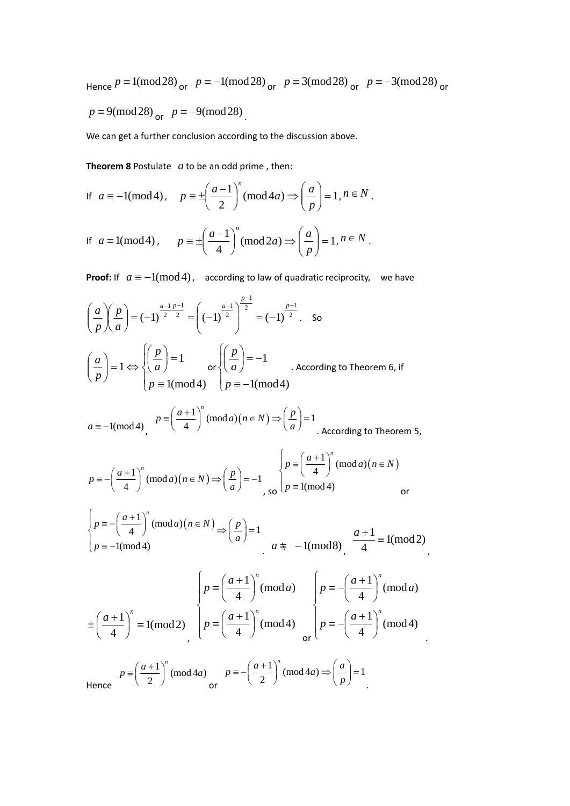Hence  $p \equiv 1 \pmod{28}$  or  $p \equiv -1 \pmod{28}$  or  $p \equiv 3 \pmod{28}$  or  $p \equiv -3 \pmod{28}$  or  $p \equiv 9 \pmod{28}$  or  $p \equiv -9 \pmod{28}$ .

We can get a further conclusion according to the discussion above.

**Theorem 8** Postulate *a* to be an odd prime , then:

If 
$$
a = -1 \pmod{4}
$$
,  $p = \pm \left(\frac{a-1}{2}\right)^n \pmod{4a} \Rightarrow \left(\frac{a}{p}\right) = 1, n \in N$ .  
\nIf  $a = 1 \pmod{4}$ ,  $p = \pm \left(\frac{a-1}{4}\right)^n \pmod{2a} \Rightarrow \left(\frac{a}{p}\right) = 1, n \in N$ .

⎝

**Proof:** If  $a \equiv -1 \pmod{4}$ , according to law of quadratic reciprocity, we have

⎠

*p*

$$
\left(\frac{a}{p}\right)\left(\frac{p}{a}\right) = (-1)^{\frac{a-1}{2}\frac{p-1}{2}} = \left((-1)^{\frac{a-1}{2}}\right)^{\frac{p-1}{2}} = (-1)^{\frac{p-1}{2}}.
$$
 So  

$$
\left(\frac{a}{p}\right) = 1 \Leftrightarrow \begin{cases} \left(\frac{p}{a}\right) = 1 \\ p \equiv 1 \pmod{4} \end{cases}
$$
 or 
$$
\begin{cases} \left(\frac{p}{a}\right) = -1 \\ p \equiv -1 \pmod{4} \end{cases}
$$
. According to Theorem 6, if

 $a \equiv -1 \pmod{4}$ ,  $p \equiv \left(\frac{a+1}{4}\right)^n \pmod{a}$   $\left(n \in N\right) \Rightarrow \left(\frac{p}{a}\right) = 1$ *a*  $\equiv \left(\frac{a+1}{4}\right)^n \pmod{a}$   $\left(n \in N\right) \Rightarrow \left(\frac{p}{a}\right) = 1$ . According to Theorem 5,

$$
p \equiv -\left(\frac{a+1}{4}\right)^n \pmod{n(n \in N)} \Rightarrow \left(\frac{p}{a}\right) = -1 \quad \text{so } p \equiv \left(\frac{a+1}{4}\right)^n \pmod{n(n \in N)}
$$

$$
\begin{cases} p \equiv -\left(\frac{a+1}{4}\right)^n (\text{mod } a)(n \in N) \Rightarrow \left(\frac{p}{a}\right) = 1 \\ p \equiv -1(\text{mod } 4) \end{cases}
$$
  $a \neq -1(\text{mod } 8), \frac{a+1}{4} \equiv 1(\text{mod } 2),$ 

$$
\begin{cases}\np \equiv \left(\frac{a+1}{4}\right)^n \pmod{a} & p \equiv -\left(\frac{a+1}{4}\right)^n \pmod{a} \\
\pm \left(\frac{a+1}{4}\right)^n \equiv 1 \pmod{2} & p \equiv -\left(\frac{a+1}{4}\right)^n \pmod{4} \\
p \equiv -\left(\frac{a+1}{4}\right)^n \pmod{4}\n\end{cases}
$$

.

Hence  $p \equiv \left(\frac{a+1}{2}\right)^n \pmod{4a}$   $p \equiv -\left(\frac{a+1}{2}\right)^n \pmod{4a} \Rightarrow \left(\frac{a}{p}\right) = 1$ *p*  $\equiv -\left(\frac{a+1}{2}\right)^n \pmod{4a} \Rightarrow \left(\frac{a}{p}\right) = 1$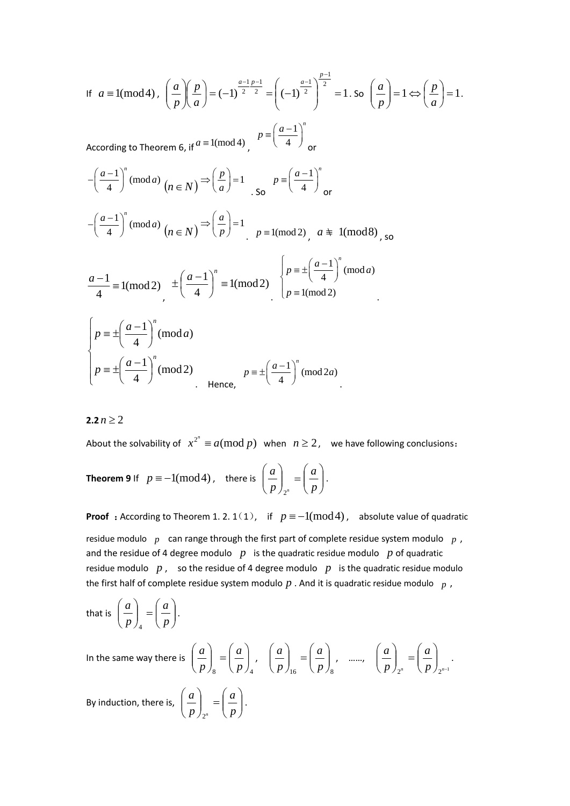If 
$$
a = 1 \text{ (mod 4)}
$$
,  $\left(\frac{a}{p}\right)\left(\frac{p}{a}\right) = (-1)^{\frac{a-1}{2}\frac{p-1}{2}} = \left((-1)^{\frac{a-1}{2}}\right)^{\frac{p-1}{2}} = 1$ . So  $\left(\frac{a}{p}\right) = 1 \Leftrightarrow \left(\frac{p}{a}\right) = 1$ .  
\nAccording to Theorem 6, if  $a = 1 \text{ (mod 4)}$ ,  $p = \left(\frac{a-1}{4}\right)^n$  or  
\n
$$
-\left(\frac{a-1}{4}\right)^n \text{ (mod } a) \quad (n \in N) \Rightarrow \left(\frac{p}{a}\right) = 1 \quad \text{so} \quad p = \left(\frac{a-1}{4}\right)^n
$$
\n
$$
-\left(\frac{a-1}{4}\right)^n \text{ (mod } a) \quad (n \in N) \Rightarrow \left(\frac{a}{p}\right) = 1 \quad p = 1 \text{ (mod 2)}, \quad a \neq 1 \text{ (mod 8)}, \text{ so}
$$
\n
$$
\frac{a-1}{4} = 1 \text{ (mod 2)} \quad \pm \left(\frac{a-1}{4}\right)^n = 1 \text{ (mod 2)} \quad \left(p = \pm \left(\frac{a-1}{4}\right)^n \text{ (mod } a)\right)
$$
\n
$$
p = \pm \left(\frac{a-1}{4}\right)^n \text{ (mod } a)
$$
\n
$$
p = \pm \left(\frac{a-1}{4}\right)^n \text{ (mod 2)}
$$
\n
$$
p = \pm \left(\frac{a-1}{4}\right)^n \text{ (mod 2)}
$$
\n
$$
p = \pm \left(\frac{a-1}{4}\right)^n \text{ (mod 2)}
$$
\n
$$
p = \pm \left(\frac{a-1}{4}\right)^n \text{ (mod 2)}
$$

**2.2**  $n > 2$ 

About the solvability of  $x^{2^n} \equiv a \pmod{p}$  when  $n \ge 2$ , we have following conclusions:

**Theorem 9** If  $p \equiv -1 \pmod{4}$ , there is  $\left| \frac{a}{n} \right| = \left| \frac{a}{n} \right|$ ⎠ ⎞  $\overline{\phantom{a}}$  $\int_{2^n}$  =  $\left(\frac{1}{2^n}\right)$ ⎠ ⎞  $\overline{\phantom{a}}$ ⎝  $\big($ *p a p a n* 2 .

**Proof** : According to Theorem 1. 2. 1(1), if  $p \equiv -1 \pmod{4}$ , absolute value of quadratic residue modulo *p* can range through the first part of complete residue system modulo *p* , and the residue of 4 degree modulo  $p$  is the quadratic residue modulo  $p$  of quadratic residue modulo  $p$ , so the residue of 4 degree modulo  $p$  is the quadratic residue modulo the first half of complete residue system modulo *p* . And it is quadratic residue modulo *p* ,

that is 
$$
\left(\frac{a}{p}\right)_4 = \left(\frac{a}{p}\right).
$$

In the same way there is 8  $\langle Y \rangle$  4  $\sqrt{ }$ ⎠  $\setminus$  $\overline{\phantom{a}}$  $\begin{pmatrix} 1 \\ 0 \end{pmatrix}$ ⎠  $\mathcal{A}$  $\parallel$ ⎝  $\big($ *p a p*  $\left(\frac{a}{a}\right) = \left(\frac{a}{b}\right)$ ,  $16 \tV P$ /8  $\overline{\phantom{a}}$ ⎠  $\mathcal{L}$  $\overline{\phantom{a}}$  $\begin{pmatrix} 1 & 1 \\ 0 & 1 \end{pmatrix}$ ⎠  $\mathcal{L}$  $\overline{\phantom{a}}$ ⎝  $\sqrt{2}$ *p a p*  $\left(\frac{a}{a}\right) = \left(\frac{a}{b}\right)$ , ......  $2^n$   $\left\{P \, \frac{\ }{2^{n-1}}\right\}$ ⎟ ⎟ ⎠  $\setminus$  $\lfloor$  $\int_{2^n}$  =  $\left(\frac{1}{2^n}\right)$ ⎠  $\mathcal{L}$  $\overline{\phantom{a}}$ ⎝  $\sqrt{2}$  $p \left( p \right)_{\gamma^n}$ *a p*  $\left(\frac{a}{a}\right) = \left(\frac{a}{b}\right)$ .

By induction, there is,  $\left| \frac{a}{n} \right| = \left| \frac{a}{n} \right|$ ⎠ ⎞  $\overline{\phantom{a}}$  $\int_{2^n}$  =  $\left($ ⎠ ⎞  $\overline{\phantom{a}}$ ⎝  $\big($ *p a p a n* 2 .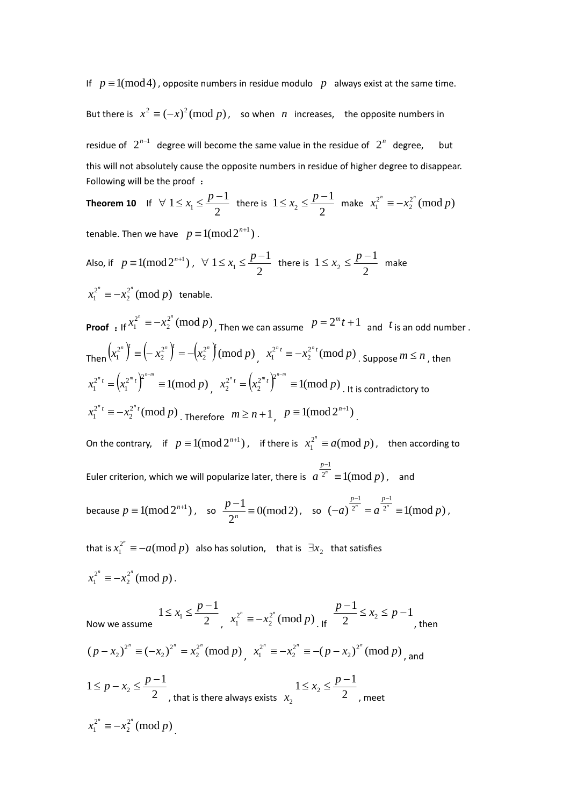If  $p \equiv 1 \pmod{4}$ , opposite numbers in residue modulo p always exist at the same time.

But there is  $x^2 \equiv (-x)^2 \pmod{p}$ , so when *n* increases, the opposite numbers in residue of  $2^{n-1}$  degree will become the same value in the residue of  $2^n$  degree, but

this will not absolutely cause the opposite numbers in residue of higher degree to disappear. Following will be the proof :

**Theorem 10** If 
$$
\forall 1 \le x_1 \le \frac{p-1}{2}
$$
 there is  $1 \le x_2 \le \frac{p-1}{2}$  make  $x_1^{2^n} \equiv -x_2^{2^n} \pmod{p}$ 

tenable. Then we have  $p \equiv 1 \pmod{2^{n+1}}$ .

Also, if  $p \equiv 1 \pmod{2^{n+1}}$ ,  $\forall$  $1 \leq x_1 \leq \frac{p-1}{2}$  there is  $1 \leq x_2 \leq \frac{p-1}{2}$  make  $2^{2^n} \pmod{p}$  $x_1^{2^n} \equiv -x_2^{2^n} \pmod{p}$  tenable.

**Proof** : If  $x_1^{2^n} \equiv -x_2^{2^n} \pmod{p}$  $x_1^{2^n} \equiv -x_2^{2^n} \pmod{p}$ , Then we can assume  $p = 2^m t + 1$  and  $t$  is an odd number . Then  $\left(x_1^{2^n}\right) \equiv \left(-x_2^{2^n}\right) = -\left(x_2^{2^n}\right) \pmod{p}$ 2 2  $\left(x_1^{2^n}\right)^n \equiv \left(-x_2^{2^n}\right)^n = -\left(x_2^{2^n}\right)^n \pmod{p}, \quad x_1^{2^n t} \equiv -x_2^{2^n t} \pmod{p}$  $x_1^{2^{n}t} \equiv -x_2^{2^{n}t} \pmod{p}$  . Suppose  $m \le n$  , then  $\left( x_1^{2^m t} \right)^{2^{n-m}} \equiv 1 \pmod{p}$ 1  $x_1^{2^n t} = (x_1^{2^m t})^{2^{n-m}} \equiv 1 \pmod{p}$ ,  $x_2^{2^n t} = (x_2^{2^m t})^{2^{n-m}} \equiv 1 \pmod{p}$ 2  $x_2^{2^n t} = (x_2^{2^m t})^{2^{n-m}} \equiv 1 \pmod{p}$ . It is contradictory to  $a_2^{2^n t} \pmod{p}$  $x_1^{2^{n}t} \equiv -x_2^{2^{n}t} \pmod{p}$ . Therefore  $m \ge n+1$ ,  $p \equiv 1 \pmod{2^{n+1}}$ .

On the contrary, if  $p \equiv 1 \pmod{2^{n+1}}$ , if there is  $x_1^{2^n} \equiv a \pmod{p}$ , then according to Euler criterion, which we will popularize later, there is  $|a|^{2^n} \equiv 1 \pmod{p}$ 1  $a^{2^n} \equiv 1 \pmod{p}$ *p* ≡ − , and because  $p \equiv 1 \pmod{2^{n+1}}$ , so  $\frac{p-1}{2^n} \equiv 0 \pmod{2}$ , so  $(-a)^{\frac{p-1}{2^n}} = a^{\frac{p-1}{2^n}} \equiv 1 \pmod{p}$ 2 1 *a*)  $2^{n}$  =  $a^{2^{n}}$  = 1(mod *p*  $p-1$  *p*  $-a)$   $2^n$  =  $a$   $2^n$  =  $-1$  p-,

that is  $x_1^{2^n} \equiv -a (\text{mod } p)$  also has solution, that is  $\exists x_2$  that satisfies  $2^{2^n} \pmod{p}$  $x_1^{2^n} \equiv -x_2^{2^n} \pmod{p}$ .

Now we assume  $2^2 - 2$  $1 \leq x_1 \leq \frac{p-1}{2}$  $x_1^{2^n} \equiv -x_2^{2^n} \pmod{p}$  $x_1^{2^n} \equiv -x_2^{2^n} \pmod{p}$ . If  $\frac{p-1}{2} \le x_2 \le p-1$  $\frac{p-1}{2} \le x_2 \le p$ , then  $(p - x_2)^{2^n} \equiv (-x_2)^{2^n} = x_2^{2^n} \pmod{p}$ 2 2  $(p - x_2)^{2^n} \equiv (-x_2)^{2^n} = x_2^{2^n} \pmod{p}$ ,  $x_1^{2^n} \equiv -x_2^{2^n} \equiv -(p - x_2)^{2^n} \pmod{p}$ 2 2  $x_1^{2^n} \equiv -x_2^{2^n} \equiv -(p-x_2)^{2^n} \pmod{p}$ , and 1≤  $p - x_2$  ≤  $\frac{p-1}{2}$ , that is there always exists  $x_2$   $2x_2$   $2x_1$  $1 \leq x_2 \leq \frac{p-1}{2}$ , meet  $2^{2^n} \pmod{p}$  $x_1^{2^n} \equiv -x_2^{2^n} \pmod{p}$ .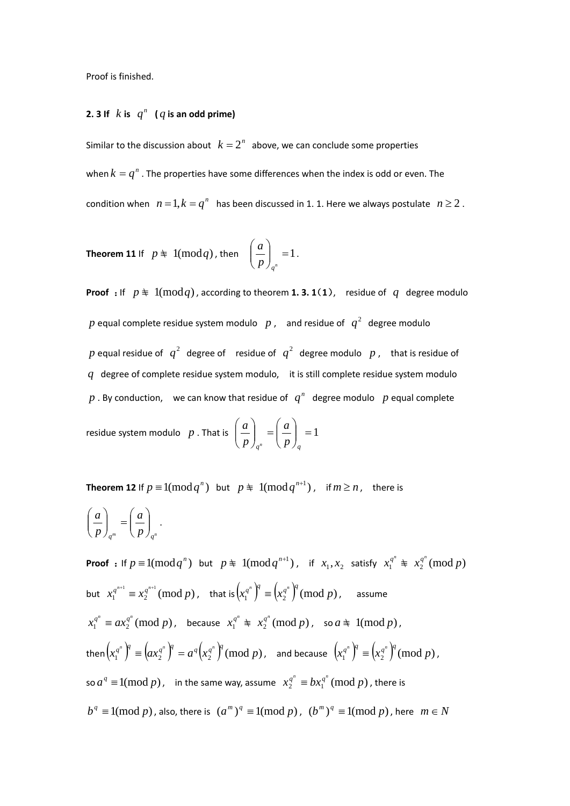Proof is finished.

## **2. 3** If  $k$  is  $q^n$  (q is an odd prime)

Similar to the discussion about  $k = 2<sup>n</sup>$  above, we can conclude some properties when  $k = q^n$ . The properties have some differences when the index is odd or even. The condition when  $n = 1, k = q^n$  has been discussed in 1. 1. Here we always postulate  $n \ge 2$ .

**Theorem 11** If 
$$
p \neq 1 \pmod{q}
$$
, then  $\left(\frac{a}{p}\right)_{q^n} = 1$ .

**Proof** : If  $p \neq 1 \pmod{q}$ , according to theorem **1. 3. 1**(**1**), residue of *q* degree modulo  $p$  equal complete residue system modulo  $\,\,p$  ,  $\,\,$  and residue of  $\,\,q^2\,\,$  degree modulo  $p$  equal residue of  $\ q^2$  degree of  $\ r$ esidue of  $\ q^2$  degree modulo  $\ p$  , that is residue of *q* degree of complete residue system modulo, it is still complete residue system modulo  $p$ . By conduction, we can know that residue of  $q^n$  degree modulo  $p$  equal complete

residue system modulo p. That is  $\left|\frac{a}{n}\right| = \left|\frac{a}{n}\right| = 1$ ⎠  $\setminus$  $\vert$  $\int_{a^n} = \left($ ⎠  $\setminus$  $\vert$ ⎝  $\big($  $q^n$   $(p)$ <sub>q</sub> *a p a n*

**Theorem 12** If  $p \equiv 1 \text{(mod } q^n)$  but  $p \not\equiv 1 \text{(mod } q^{n+1})$ , if  $m \ge n$ , there is  $_{q^m}$   $\left(\,p\,\right)_{q^n}$ *a p a*  $\sqrt{2}$ ⎠  $\setminus$  $\parallel$  $\int_{a^m} = \left($ ⎠ ⎞  $\parallel$ ⎝  $\left(\begin{array}{c} a \\ - \end{array}\right) = \left(\begin{array}{c} a \\ - \end{array}\right)$ .

**Proof** : If  $p \equiv 1(\text{mod } q^n)$  but  $p \not\equiv 1(\text{mod } q^{n+1})$ , if  $x_1, x_2$  satisfy  $x_1^{q^n} \not\equiv x_2^{q^n} (\text{mod } p)$  $\int x_1^{q^{n+1}} \equiv x_2^{q^{n+1}} \pmod{p}$ , that is  $\left( x_1^{q^n} \right)^q \equiv \left( x_2^{q^n} \right)^q \pmod{p}$ , assume  $x_1^{q^n} \equiv ax_2^{q^n} \pmod{p}$ , because  $x_1^{q^n} \not\equiv x_2^{q^n} \pmod{p}$ , so  $a \not\equiv 1 \pmod{p}$ , then  $\left(x_1^{q^n}\right)^{\!\!q}\equiv\!\left(ax_2^{q^n}\right)^{\!\!q}=a^q\!\left(x_2^{q^n}\right)^{\!\!q}(\text{mod}~p)$  , and because  $\left(x_1^{q^n}\right)^{\!\!q}\equiv\!\left(x_2^{q^n}\right)^{\!\!q}(\text{mod}~p)$  , so  $a^q \equiv 1 \pmod{p}$ , in the same way, assume  $x_2^{q^n} \equiv bx_1^{q^n} \pmod{p}$ , there is  $b^q \equiv 1 \pmod{p}$ , also, there is  $(a^m)^q \equiv 1 \pmod{p}$ ,  $(b^m)^q \equiv 1 \pmod{p}$ , here  $m \in N$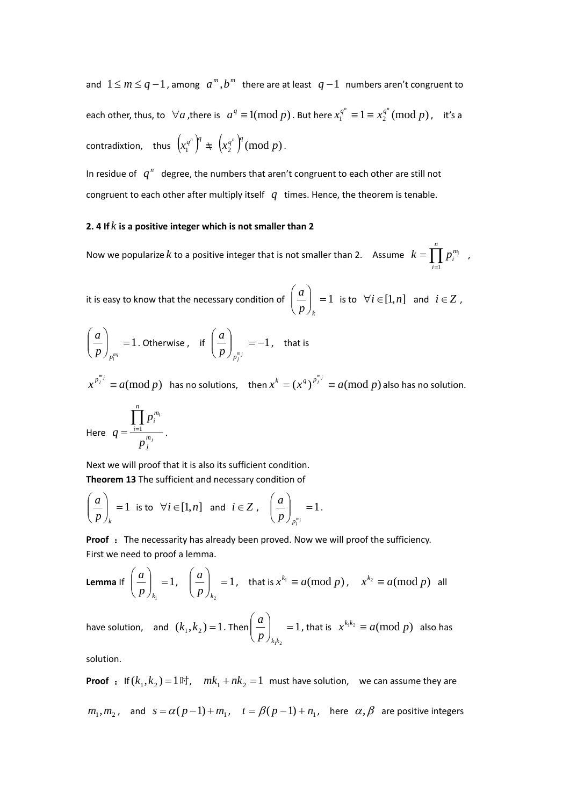and  $1 \le m \le q-1$ , among  $a^m, b^m$  there are at least  $q-1$  numbers aren't congruent to each other, thus, to  $\forall a$ , there is  $a^q \equiv 1 \pmod{p}$ . But here  $x_1^{q^n} \equiv 1 \equiv x_2^{q^n} \pmod{p}$ , it's a  $\text{contradixtion, thus } \left(x_1^{q^n}\right)^q \equiv \left(x_2^{q^n}\right)^q \left(\text{mod } p\right).$ 

In residue of  $q^n$  degree, the numbers that aren't congruent to each other are still not congruent to each other after multiply itself *q* times. Hence, the theorem is tenable.

## **2. 4 If** *k* **is a positive integer which is not smaller than 2**

Now we popularize  $k$  to a positive integer that is not smaller than 2. Assume  $k = \prod_{i=1}$ *n i m*  $k = \prod p_i^m$ 1 ,

it is easy to know that the necessary condition of  $\begin{vmatrix} a \\ n \end{vmatrix} = 1$ ⎠ ⎞  $\parallel$ ⎝  $\big($ *<sup>k</sup> p*  $\left(\frac{a}{i}\right)$  = 1 is to  $\forall i \in [1, n]$  and  $i \in \mathbb{Z}$ ,

$$
\left(\frac{a}{p}\right)_{p_i^{m_i}} = 1. \text{ Otherwise, if } \left(\frac{a}{p}\right)_{p_j^{m_j}} = -1, \text{ that is}
$$

 $x^{p_j^{m_j}} \equiv a \pmod{p}$  has no solutions, then  $x^k = (x^q)^{p_j^{m_j}} \equiv a \pmod{p}$  also has no solution.

Here 
$$
q = \frac{\prod_{i=1}^{n} p_i^{m_i}}{p_j^{m_j}}.
$$

Next we will proof that it is also its sufficient condition. **Theorem 13** The sufficient and necessary condition of

$$
\left(\frac{a}{p}\right)_k = 1 \text{ is to } \forall i \in [1, n] \text{ and } i \in \mathbb{Z}, \quad \left(\frac{a}{p}\right)_{p_i^{m_i}} = 1.
$$

**Proof** : The necessarity has already been proved. Now we will proof the sufficiency. First we need to proof a lemma.

**Lemma** If 
$$
\left(\frac{a}{p}\right)_{k_1} = 1
$$
,  $\left(\frac{a}{p}\right)_{k_2} = 1$ , that is  $x^{k_1} \equiv a \pmod{p}$ ,  $x^{k_2} \equiv a \pmod{p}$  all

have solution, and  $(k_1, k_2) = 1$ . Then  $\left| \frac{a}{n} \right|$  = 1  $\frac{1}{2}$  $\vert \vert$  = ⎠ ⎞  $\parallel$ ⎝  $\big($  $p\int_{k_1k}$  $\left\{ \begin{array}{ll} a \ d \end{array} \right\} \quad = 1$  , that is  $\quad x^{k_1 k_2} \equiv a (\text{mod } p) \;$  also has

solution.

**Proof** : If  $(k_1, k_2) = 1$  **iii**,  $mk_1 + nk_2 = 1$  must have solution, we can assume they are  $m_1, m_2$ , and  $s = \alpha(p-1) + m_1$ ,  $t = \beta(p-1) + n_1$ , here  $\alpha, \beta$  are positive integers